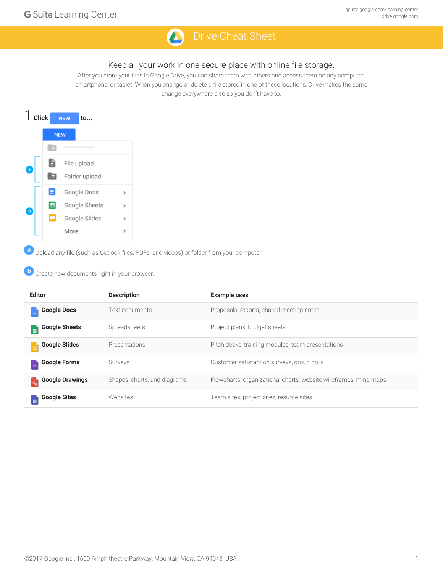

### Keep all your work in one secure place with online file storage.

After you store your files in Google Drive, you can share them with others and access them on any computer, smartphone, or tablet. When you change or delete a file stored in one of these locations, Drive makes the same change everywhere else so you don't have to.



Upload any file (such as Outlook files, PDFs, and videos) or folder from your computer.

Create new documents right in your browser.

| <b>Editor</b>                   | <b>Description</b>           | <b>Example uses</b>                                              |
|---------------------------------|------------------------------|------------------------------------------------------------------|
| <b>Google Docs</b>              | Text documents               | Proposals, reports, shared meeting notes                         |
| <b>Google Sheets</b>            | Spreadsheets                 | Project plans, budget sheets                                     |
| <b>Google Slides</b>            | Presentations                | Pitch decks, training modules, team presentations                |
| <b>Google Forms</b><br>$\equiv$ | Surveys                      | Customer satisfaction surveys, group polls                       |
| <b>Google Drawings</b>          | Shapes, charts, and diagrams | Flowcharts, organizational charts, website wireframes, mind maps |
| <b>Google Sites</b>             | Websites                     | Team sites, project sites, resume sites                          |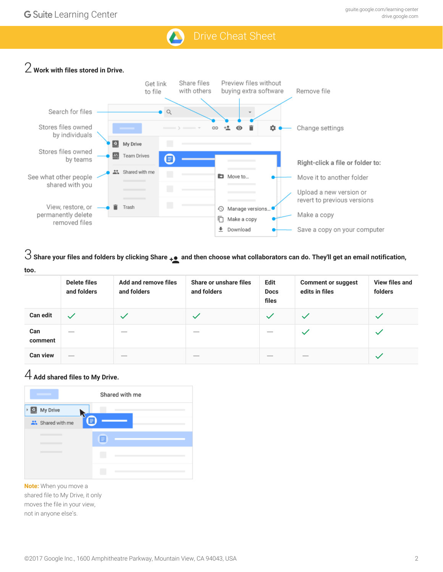## 2 **Work with files stored in Drive.**



 $\Im$  Share your files and folders by clicking Share  $\ddot{}_{\bullet}$  and then choose what collaborators can do. They'll get an email notification, **too.**

|                 | <b>Delete files</b><br>and folders | Add and remove files<br>and folders                                                                                                                                                                                                                                                                                                                                                                                                                                        | Share or unshare files<br>and folders | Edit<br><b>Docs</b><br>files | <b>Comment or suggest</b><br>edits in files | View files and<br>folders |
|-----------------|------------------------------------|----------------------------------------------------------------------------------------------------------------------------------------------------------------------------------------------------------------------------------------------------------------------------------------------------------------------------------------------------------------------------------------------------------------------------------------------------------------------------|---------------------------------------|------------------------------|---------------------------------------------|---------------------------|
| <b>Can edit</b> |                                    |                                                                                                                                                                                                                                                                                                                                                                                                                                                                            | $\checkmark$                          | $\checkmark$                 |                                             |                           |
| Can<br>comment  | $\overline{\phantom{a}}$           | $\sim$                                                                                                                                                                                                                                                                                                                                                                                                                                                                     | $\overline{\phantom{a}}$              | $\sim$                       |                                             |                           |
| <b>Can view</b> | $\frac{1}{2}$                      | $\frac{1}{2} \left( \frac{1}{2} \right) \left( \frac{1}{2} \right) \left( \frac{1}{2} \right) \left( \frac{1}{2} \right) \left( \frac{1}{2} \right) \left( \frac{1}{2} \right) \left( \frac{1}{2} \right) \left( \frac{1}{2} \right) \left( \frac{1}{2} \right) \left( \frac{1}{2} \right) \left( \frac{1}{2} \right) \left( \frac{1}{2} \right) \left( \frac{1}{2} \right) \left( \frac{1}{2} \right) \left( \frac{1}{2} \right) \left( \frac{1}{2} \right) \left( \frac$ | $\qquad \qquad$                       | $\hspace{0.1mm}$             | $\qquad \qquad$                             |                           |

## 4 **Add shared files to My Drive.**



**Note:** When you move a shared file to My Drive, it only moves the file in your view, not in anyone else's.